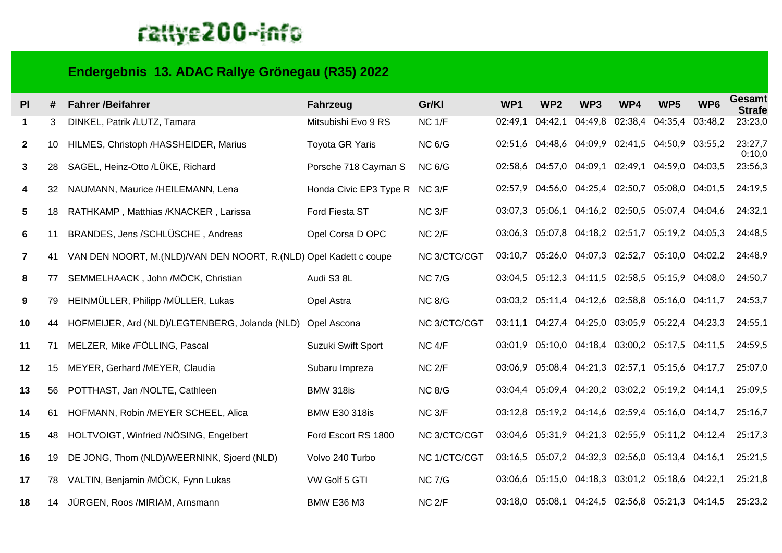## rattye200-info

## **Endergebnis 13. ADAC Rallye Grönegau (R35) 2022**

| P <sub>1</sub> | #  | <b>Fahrer /Beifahrer</b>                                            | <b>Fahrzeug</b>               | Gr/KI             | WP <sub>1</sub> | WP <sub>2</sub> | WP <sub>3</sub>                                 | WP4 | WP <sub>5</sub>         | WP <sub>6</sub> | <b>Gesamt</b><br><b>Strafe</b> |
|----------------|----|---------------------------------------------------------------------|-------------------------------|-------------------|-----------------|-----------------|-------------------------------------------------|-----|-------------------------|-----------------|--------------------------------|
| 1              | 3  | DINKEL, Patrik /LUTZ, Tamara                                        | Mitsubishi Evo 9 RS           | NC <sub>1/F</sub> | 02:49,1         | 04:42,1         | 04:49,8                                         |     | 02:38,4 04:35,4 03:48,2 |                 | 23:23,0                        |
| $\mathbf{2}$   | 10 | HILMES, Christoph /HASSHEIDER, Marius                               | <b>Toyota GR Yaris</b>        | <b>NC 6/G</b>     |                 |                 | 02:51,6 04:48,6 04:09,9 02:41,5 04:50,9 03:55,2 |     |                         |                 | 23:27,7<br>0:10,0              |
| 3              | 28 | SAGEL, Heinz-Otto /LÜKE, Richard                                    | Porsche 718 Cayman S          | <b>NC 6/G</b>     |                 |                 | 02:58,6 04:57,0 04:09,1 02:49,1 04:59,0 04:03,5 |     |                         |                 | 23:56,3                        |
| 4              | 32 | NAUMANN, Maurice /HEILEMANN, Lena                                   | Honda Civic EP3 Type R NC 3/F |                   |                 |                 | 02:57,9 04:56,0 04:25,4 02:50,7 05:08,0 04:01,5 |     |                         |                 | 24:19,5                        |
| 5              | 18 | RATHKAMP, Matthias /KNACKER, Larissa                                | Ford Fiesta ST                | NC <sub>3/F</sub> |                 |                 | 03:07,3 05:06,1 04:16,2 02:50,5 05:07,4 04:04,6 |     |                         |                 | 24:32,1                        |
| 6              | 11 | BRANDES, Jens /SCHLÜSCHE, Andreas                                   | Opel Corsa D OPC              | NC <sub>2/F</sub> |                 |                 | 03:06,3 05:07,8 04:18,2 02:51,7 05:19,2 04:05,3 |     |                         |                 | 24:48,5                        |
| $\mathbf{7}$   | 41 | VAN DEN NOORT, M. (NLD)/VAN DEN NOORT, R. (NLD) Opel Kadett c coupe |                               | NC 3/CTC/CGT      |                 |                 | 03:10,7 05:26,0 04:07,3 02:52,7 05:10,0 04:02,2 |     |                         |                 | 24:48,9                        |
| 8              | 77 | SEMMELHAACK, John /MÖCK, Christian                                  | Audi S3 8L                    | <b>NC 7/G</b>     |                 |                 | 03:04,5 05:12,3 04:11,5 02:58,5 05:15,9 04:08,0 |     |                         |                 | 24:50,7                        |
| 9              | 79 | HEINMÜLLER, Philipp / MÜLLER, Lukas                                 | Opel Astra                    | <b>NC 8/G</b>     |                 |                 | 03:03,2 05:11,4 04:12,6 02:58,8 05:16,0 04:11,7 |     |                         |                 | 24:53,7                        |
| 10             | 44 | HOFMEIJER, Ard (NLD)/LEGTENBERG, Jolanda (NLD)                      | Opel Ascona                   | NC 3/CTC/CGT      |                 |                 | 03:11,1 04:27,4 04:25,0 03:05,9 05:22,4 04:23,3 |     |                         |                 | 24:55,1                        |
| 11             | 71 | MELZER, Mike /FÖLLING, Pascal                                       | Suzuki Swift Sport            | NC <sub>4/F</sub> |                 |                 | 03:01,9 05:10,0 04:18,4 03:00,2 05:17,5 04:11,5 |     |                         |                 | 24:59,5                        |
| 12             | 15 | MEYER, Gerhard /MEYER, Claudia                                      | Subaru Impreza                | $NC$ $2/F$        |                 |                 | 03:06,9 05:08,4 04:21,3 02:57,1 05:15,6 04:17,7 |     |                         |                 | 25:07,0                        |
| 13             | 56 | POTTHAST, Jan /NOLTE, Cathleen                                      | <b>BMW 318is</b>              | <b>NC 8/G</b>     |                 |                 | 03:04,4 05:09,4 04:20,2 03:02,2 05:19,2 04:14,1 |     |                         |                 | 25:09,5                        |
| 14             | 61 | HOFMANN, Robin /MEYER SCHEEL, Alica                                 | <b>BMW E30 318is</b>          | NC <sub>3/F</sub> |                 |                 | 03:12,8 05:19,2 04:14,6 02:59,4 05:16,0 04:14,7 |     |                         |                 | 25:16,7                        |
| 15             | 48 | HOLTVOIGT, Winfried /NÖSING, Engelbert                              | Ford Escort RS 1800           | NC 3/CTC/CGT      |                 |                 | 03:04,6 05:31,9 04:21,3 02:55,9 05:11,2 04:12,4 |     |                         |                 | 25:17,3                        |
| 16             | 19 | DE JONG, Thom (NLD)/WEERNINK, Sjoerd (NLD)                          | Volvo 240 Turbo               | NC 1/CTC/CGT      |                 |                 | 03:16,5 05:07,2 04:32,3 02:56,0 05:13,4 04:16,1 |     |                         |                 | 25:21,5                        |
| 17             | 78 | VALTIN, Benjamin /MÖCK, Fynn Lukas                                  | VW Golf 5 GTI                 | <b>NC 7/G</b>     |                 |                 | 03:06,6 05:15,0 04:18,3 03:01,2 05:18,6 04:22,1 |     |                         |                 | 25:21,8                        |
| 18             | 14 | JÜRGEN, Roos /MIRIAM, Arnsmann                                      | <b>BMW E36 M3</b>             | $NC$ $2/F$        |                 |                 | 03:18,0 05:08,1 04:24,5 02:56,8 05:21,3 04:14,5 |     |                         |                 | 25:23,2                        |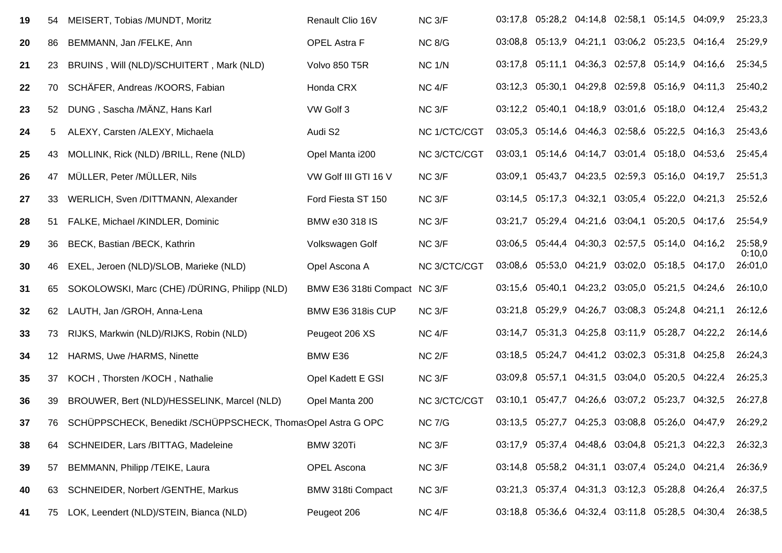| 19 | 54  | MEISERT, Tobias /MUNDT, Moritz                               | Renault Clio 16V             | NC <sub>3/F</sub> |         | 03:17,8 05:28,2 04:14,8 02:58,1 05:14,5 04:09,9 |                                         |  | 25:23,3           |
|----|-----|--------------------------------------------------------------|------------------------------|-------------------|---------|-------------------------------------------------|-----------------------------------------|--|-------------------|
| 20 | 86  | BEMMANN, Jan /FELKE, Ann                                     | <b>OPEL Astra F</b>          | <b>NC 8/G</b>     |         | 03:08,8 05:13,9 04:21,1 03:06,2 05:23,5 04:16,4 |                                         |  | 25:29,9           |
| 21 | 23  | BRUINS, Will (NLD)/SCHUITERT, Mark (NLD)                     | Volvo 850 T5R                | <b>NC 1/N</b>     |         | 03:17,8 05:11,1 04:36,3 02:57,8 05:14,9 04:16,6 |                                         |  | 25:34,5           |
| 22 | 70  | SCHÄFER, Andreas /KOORS, Fabian                              | Honda CRX                    | NC <sub>4/F</sub> |         | 03:12,3 05:30,1 04:29,8 02:59,8 05:16,9 04:11,3 |                                         |  | 25:40,2           |
| 23 | 52  | DUNG, Sascha /MÄNZ, Hans Karl                                | VW Golf 3                    | NC <sub>3/F</sub> |         | 03:12,2 05:40,1 04:18,9 03:01,6 05:18,0 04:12,4 |                                         |  | 25:43,2           |
| 24 | 5   | ALEXY, Carsten /ALEXY, Michaela                              | Audi S2                      | NC 1/CTC/CGT      |         | 03:05,3 05:14,6 04:46,3 02:58,6 05:22,5 04:16,3 |                                         |  | 25:43,6           |
| 25 | 43  | MOLLINK, Rick (NLD) /BRILL, Rene (NLD)                       | Opel Manta i200              | NC 3/CTC/CGT      |         | 03:03,1 05:14,6 04:14,7 03:01,4 05:18,0 04:53,6 |                                         |  | 25:45,4           |
| 26 | 47  | MÜLLER, Peter /MÜLLER, Nils                                  | VW Golf III GTI 16 V         | NC <sub>3/F</sub> |         | 03:09,1 05:43,7                                 | 04:23,5 02:59,3 05:16,0 04:19,7         |  | 25:51,3           |
| 27 | 33  | WERLICH, Sven /DITTMANN, Alexander                           | Ford Fiesta ST 150           | NC <sub>3/F</sub> |         | 03:14,5 05:17,3 04:32,1 03:05,4 05:22,0 04:21,3 |                                         |  | 25:52,6           |
| 28 | 51  | FALKE, Michael /KINDLER, Dominic                             | BMW e30 318 IS               | NC <sub>3/F</sub> | 03:21,7 |                                                 | 05:29,4 04:21,6 03:04,1 05:20,5 04:17,6 |  | 25:54,9           |
| 29 | 36  | BECK, Bastian /BECK, Kathrin                                 | Volkswagen Golf              | NC <sub>3/F</sub> |         | 03:06,5 05:44,4 04:30,3 02:57,5 05:14,0 04:16,2 |                                         |  | 25:58,9<br>0:10,0 |
| 30 | 46  | EXEL, Jeroen (NLD)/SLOB, Marieke (NLD)                       | Opel Ascona A                | NC 3/CTC/CGT      |         | 03:08,6 05:53,0 04:21,9 03:02,0 05:18,5 04:17,0 |                                         |  | 26:01,0           |
| 31 | 65  | SOKOLOWSKI, Marc (CHE) /DÜRING, Philipp (NLD)                | BMW E36 318ti Compact NC 3/F |                   |         | 03:15,6 05:40,1 04:23,2 03:05,0 05:21,5 04:24,6 |                                         |  | 26:10,0           |
| 32 | 62  | LAUTH, Jan /GROH, Anna-Lena                                  | BMW E36 318is CUP            | NC <sub>3/F</sub> |         | 03:21,8 05:29,9 04:26,7 03:08,3 05:24,8 04:21,1 |                                         |  | 26:12,6           |
| 33 | 73  | RIJKS, Markwin (NLD)/RIJKS, Robin (NLD)                      | Peugeot 206 XS               | NC <sub>4/F</sub> | 03:14,7 |                                                 | 05:31,3 04:25,8 03:11,9 05:28,7 04:22,2 |  | 26:14,6           |
| 34 | 12  | HARMS, Uwe /HARMS, Ninette                                   | BMW E36                      | NC <sub>2/F</sub> |         | 03:18,5 05:24,7 04:41,2 03:02,3 05:31,8 04:25,8 |                                         |  | 26:24,3           |
| 35 | 37  | KOCH, Thorsten /KOCH, Nathalie                               | Opel Kadett E GSI            | NC <sub>3/F</sub> |         | 03:09,8 05:57,1 04:31,5 03:04,0 05:20,5 04:22,4 |                                         |  | 26:25,3           |
| 36 | 39  | BROUWER, Bert (NLD)/HESSELINK, Marcel (NLD)                  | Opel Manta 200               | NC 3/CTC/CGT      |         | 03:10,1 05:47,7 04:26,6 03:07,2 05:23,7 04:32,5 |                                         |  | 26:27,8           |
| 37 | 76  | SCHÜPPSCHECK, Benedikt /SCHÜPPSCHECK, ThomasOpel Astra G OPC |                              | <b>NC 7/G</b>     |         | 03:13,5 05:27,7 04:25,3 03:08,8 05:26,0 04:47,9 |                                         |  | 26:29,2           |
| 38 | 64. | SCHNEIDER, Lars /BITTAG, Madeleine                           | BMW 320Ti                    | NC <sub>3/F</sub> |         | 03:17,9 05:37,4 04:48,6 03:04,8 05:21,3 04:22,3 |                                         |  | 26:32,3           |
| 39 | 57  | BEMMANN, Philipp /TEIKE, Laura                               | <b>OPEL Ascona</b>           | NC <sub>3/F</sub> |         | 03:14,8 05:58,2 04:31,1 03:07,4 05:24,0 04:21,4 |                                         |  | 26:36,9           |
| 40 | 63  | SCHNEIDER, Norbert /GENTHE, Markus                           | <b>BMW 318ti Compact</b>     | NC <sub>3/F</sub> |         | 03:21,3 05:37,4 04:31,3 03:12,3 05:28,8 04:26,4 |                                         |  | 26:37,5           |
| 41 |     | 75 LOK, Leendert (NLD)/STEIN, Bianca (NLD)                   | Peugeot 206                  | NC 4/F            |         | 03:18,8 05:36,6 04:32,4 03:11,8 05:28,5 04:30,4 |                                         |  | 26:38,5           |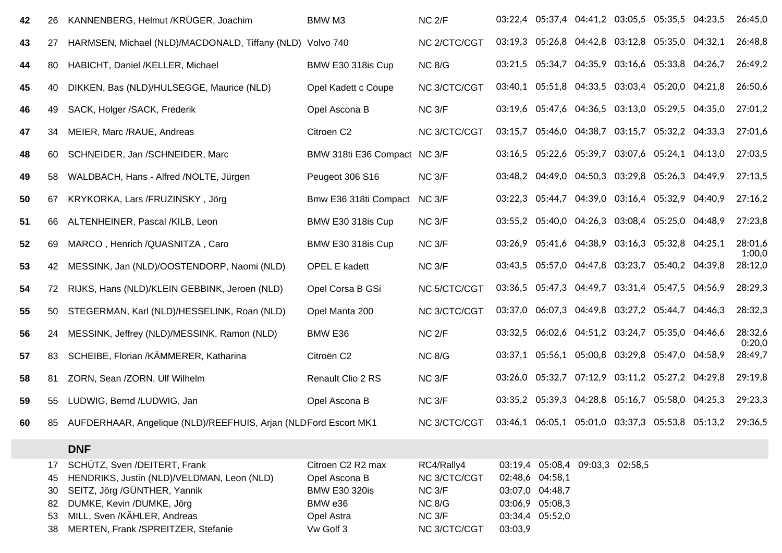| 42 | 26                                | KANNENBERG, Helmut /KRÜGER, Joachim                                                                                                                                                                          | BMW M3                                                                                           | NC <sub>2/F</sub>                                                                          |         |                                                                          | 03:22,4 05:37,4 04:41,2 03:05,5 05:35,5 04:23,5 |                                                 | 26:45,0           |
|----|-----------------------------------|--------------------------------------------------------------------------------------------------------------------------------------------------------------------------------------------------------------|--------------------------------------------------------------------------------------------------|--------------------------------------------------------------------------------------------|---------|--------------------------------------------------------------------------|-------------------------------------------------|-------------------------------------------------|-------------------|
| 43 | 27                                | HARMSEN, Michael (NLD)/MACDONALD, Tiffany (NLD) Volvo 740                                                                                                                                                    |                                                                                                  | NC 2/CTC/CGT                                                                               |         |                                                                          | 03:19,3 05:26,8 04:42,8 03:12,8 05:35,0 04:32,1 |                                                 | 26:48,8           |
| 44 | 80                                | HABICHT, Daniel /KELLER, Michael                                                                                                                                                                             | BMW E30 318is Cup                                                                                | <b>NC 8/G</b>                                                                              | 03:21,5 |                                                                          | 05:34,7 04:35,9 03:16,6 05:33,8 04:26,7         |                                                 | 26:49,2           |
| 45 | 40                                | DIKKEN, Bas (NLD)/HULSEGGE, Maurice (NLD)                                                                                                                                                                    | Opel Kadett c Coupe                                                                              | NC 3/CTC/CGT                                                                               | 03:40,1 |                                                                          | 05:51,8 04:33,5 03:03,4 05:20,0 04:21,8         |                                                 | 26:50,6           |
| 46 | 49                                | SACK, Holger /SACK, Frederik                                                                                                                                                                                 | Opel Ascona B                                                                                    | NC <sub>3/F</sub>                                                                          |         |                                                                          | 03:19,6 05:47,6 04:36,5 03:13,0 05:29,5 04:35,0 |                                                 | 27:01,2           |
| 47 | 34                                | MEIER, Marc /RAUE, Andreas                                                                                                                                                                                   | Citroen C2                                                                                       | NC 3/CTC/CGT                                                                               | 03:15,7 |                                                                          | 05:46,0 04:38,7 03:15,7 05:32,2 04:33,3         |                                                 | 27:01,6           |
| 48 | 60                                | SCHNEIDER, Jan /SCHNEIDER, Marc                                                                                                                                                                              | BMW 318ti E36 Compact NC 3/F                                                                     |                                                                                            | 03:16.5 |                                                                          | 05:22,6 05:39,7 03:07,6 05:24,1 04:13,0         |                                                 | 27:03,5           |
| 49 | 58                                | WALDBACH, Hans - Alfred /NOLTE, Jürgen                                                                                                                                                                       | Peugeot 306 S16                                                                                  | NC <sub>3/F</sub>                                                                          |         |                                                                          | 03:48,2 04:49,0 04:50,3 03:29,8 05:26,3 04:49,9 |                                                 | 27:13,5           |
| 50 | 67                                | KRYKORKA, Lars /FRUZINSKY, Jörg                                                                                                                                                                              | Bmw E36 318ti Compact                                                                            | NC 3/F                                                                                     |         |                                                                          | 03:22,3 05:44,7 04:39,0 03:16,4 05:32,9 04:40,9 |                                                 | 27:16,2           |
| 51 | 66                                | ALTENHEINER, Pascal /KILB, Leon                                                                                                                                                                              | BMW E30 318is Cup                                                                                | NC <sub>3/F</sub>                                                                          |         |                                                                          | 03:55,2 05:40,0 04:26,3 03:08,4 05:25,0 04:48,9 |                                                 | 27:23,8           |
| 52 | 69                                | MARCO, Henrich /QUASNITZA, Caro                                                                                                                                                                              | BMW E30 318is Cup                                                                                | NC <sub>3/F</sub>                                                                          |         |                                                                          | 03:26,9 05:41,6 04:38,9 03:16,3 05:32,8 04:25,1 |                                                 | 28:01,6<br>1:00,0 |
| 53 | 42                                | MESSINK, Jan (NLD)/OOSTENDORP, Naomi (NLD)                                                                                                                                                                   | <b>OPEL E kadett</b>                                                                             | NC <sub>3/F</sub>                                                                          |         |                                                                          | 03:43,5 05:57,0 04:47,8 03:23,7 05:40,2 04:39,8 |                                                 | 28:12,0           |
| 54 | 72                                | RIJKS, Hans (NLD)/KLEIN GEBBINK, Jeroen (NLD)                                                                                                                                                                | Opel Corsa B GSi                                                                                 | <b>NC 5/CTC/CGT</b>                                                                        | 03:36,5 |                                                                          | 05:47,3 04:49,7 03:31,4 05:47,5 04:56,9         |                                                 | 28:29,3           |
| 55 | 50                                | STEGERMAN, Karl (NLD)/HESSELINK, Roan (NLD)                                                                                                                                                                  | Opel Manta 200                                                                                   | NC 3/CTC/CGT                                                                               | 03:37,0 |                                                                          | 06:07,3 04:49,8 03:27,2 05:44,7 04:46,3         |                                                 | 28:32,3           |
| 56 | 24                                | MESSINK, Jeffrey (NLD)/MESSINK, Ramon (NLD)                                                                                                                                                                  | BMW E36                                                                                          | $NC$ $2/F$                                                                                 | 03:32,5 |                                                                          | 06:02,6 04:51,2 03:24,7 05:35,0 04:46,6         |                                                 | 28:32,6<br>0:20,0 |
| 57 | 83                                | SCHEIBE, Florian /KÄMMERER, Katharina                                                                                                                                                                        | Citroën C2                                                                                       | <b>NC 8/G</b>                                                                              |         |                                                                          | 03:37,1 05:56,1 05:00,8 03:29,8 05:47,0 04:58,9 |                                                 | 28:49,7           |
| 58 | 81                                | ZORN, Sean /ZORN, Ulf Wilhelm                                                                                                                                                                                | Renault Clio 2 RS                                                                                | NC <sub>3/F</sub>                                                                          |         | 03:26,0 05:32,7                                                          | 07:12,9 03:11,2 05:27,2 04:29,8                 |                                                 | 29:19,8           |
| 59 | 55                                | LUDWIG, Bernd /LUDWIG, Jan                                                                                                                                                                                   | Opel Ascona B                                                                                    | NC <sub>3/F</sub>                                                                          |         |                                                                          | 03:35,2 05:39,3 04:28,8 05:16,7 05:58,0 04:25,3 |                                                 | 29:23,3           |
| 60 | 85                                | AUFDERHAAR, Angelique (NLD)/REEFHUIS, Arjan (NLDFord Escort MK1                                                                                                                                              |                                                                                                  | NC 3/CTC/CGT                                                                               |         |                                                                          |                                                 | 03:46,1 06:05,1 05:01,0 03:37,3 05:53,8 05:13,2 | 29:36,5           |
|    |                                   | <b>DNF</b>                                                                                                                                                                                                   |                                                                                                  |                                                                                            |         |                                                                          |                                                 |                                                 |                   |
|    | 17<br>45<br>30<br>-82<br>53<br>38 | SCHÜTZ, Sven /DEITERT, Frank<br>HENDRIKS, Justin (NLD)/VELDMAN, Leon (NLD)<br>SEITZ, Jörg /GÜNTHER, Yannik<br>DUMKE, Kevin /DUMKE, Jörg<br>MILL, Sven /KÄHLER, Andreas<br>MERTEN, Frank /SPREITZER, Stefanie | Citroen C2 R2 max<br>Opel Ascona B<br><b>BMW E30 320is</b><br>BMW e36<br>Opel Astra<br>Vw Golf 3 | RC4/Rally4<br>NC 3/CTC/CGT<br>NC 3/F<br><b>NC 8/G</b><br>NC <sub>3/F</sub><br>NC 3/CTC/CGT | 03:03,9 | 02:48,6 04:58,1<br>03:07,0 04:48,7<br>03:06,9 05:08,3<br>03:34,4 05:52,0 | 03:19,4 05:08,4 09:03,3 02:58,5                 |                                                 |                   |